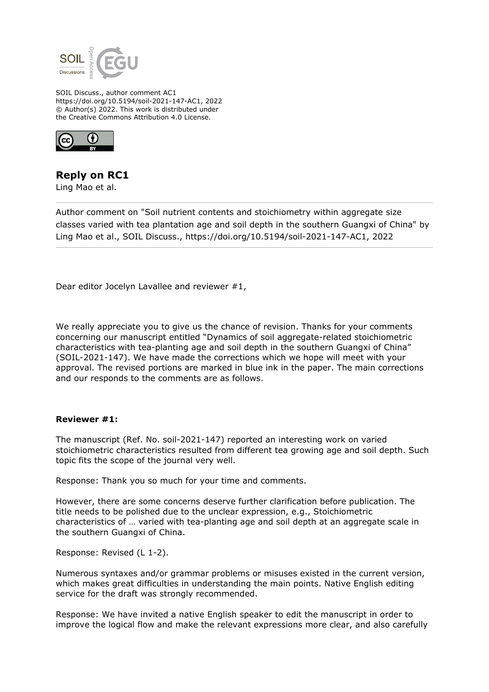

SOIL Discuss., author comment AC1 https://doi.org/10.5194/soil-2021-147-AC1, 2022 © Author(s) 2022. This work is distributed under the Creative Commons Attribution 4.0 License.



## **Reply on RC1**

Ling Mao et al.

Author comment on "Soil nutrient contents and stoichiometry within aggregate size classes varied with tea plantation age and soil depth in the southern Guangxi of China" by Ling Mao et al., SOIL Discuss., https://doi.org/10.5194/soil-2021-147-AC1, 2022

Dear editor Jocelyn Lavallee and reviewer #1,

We really appreciate you to give us the chance of revision. Thanks for your comments concerning our manuscript entitled "Dynamics of soil aggregate-related stoichiometric characteristics with tea-planting age and soil depth in the southern Guangxi of China" (SOIL-2021-147). We have made the corrections which we hope will meet with your approval. The revised portions are marked in blue ink in the paper. The main corrections and our responds to the comments are as follows.

## **Reviewer #1:**

The manuscript (Ref. No. soil-2021-147) reported an interesting work on varied stoichiometric characteristics resulted from different tea growing age and soil depth. Such topic fits the scope of the journal very well.

Response: Thank you so much for your time and comments.

However, there are some concerns deserve further clarification before publication. The title needs to be polished due to the unclear expression, e.g., Stoichiometric characteristics of … varied with tea-planting age and soil depth at an aggregate scale in the southern Guangxi of China.

Response: Revised (L 1-2).

Numerous syntaxes and/or grammar problems or misuses existed in the current version, which makes great difficulties in understanding the main points. Native English editing service for the draft was strongly recommended.

Response: We have invited a native English speaker to edit the manuscript in order to improve the logical flow and make the relevant expressions more clear, and also carefully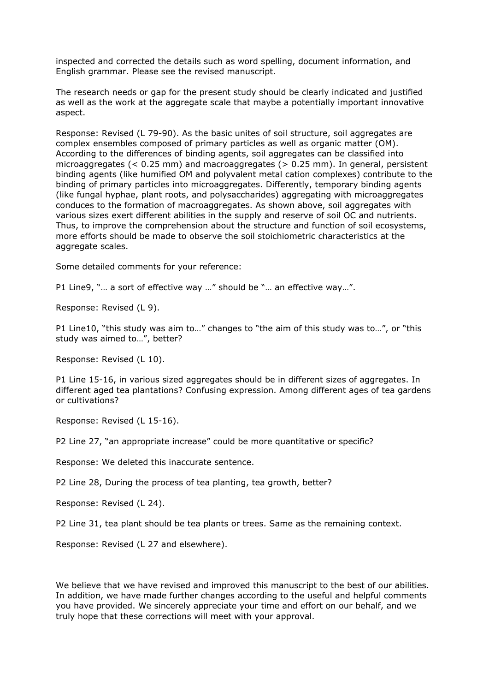inspected and corrected the details such as word spelling, document information, and English grammar. Please see the revised manuscript.

The research needs or gap for the present study should be clearly indicated and justified as well as the work at the aggregate scale that maybe a potentially important innovative aspect.

Response: Revised (L 79-90). As the basic unites of soil structure, soil aggregates are complex ensembles composed of primary particles as well as organic matter (OM). According to the differences of binding agents, soil aggregates can be classified into microaggregates (< 0.25 mm) and macroaggregates (> 0.25 mm). In general, persistent binding agents (like humified OM and polyvalent metal cation complexes) contribute to the binding of primary particles into microaggregates. Differently, temporary binding agents (like fungal hyphae, plant roots, and polysaccharides) aggregating with microaggregates conduces to the formation of macroaggregates. As shown above, soil aggregates with various sizes exert different abilities in the supply and reserve of soil OC and nutrients. Thus, to improve the comprehension about the structure and function of soil ecosystems, more efforts should be made to observe the soil stoichiometric characteristics at the aggregate scales.

Some detailed comments for your reference:

P1 Line9, "… a sort of effective way …" should be "… an effective way…".

Response: Revised (L 9).

P1 Line10, "this study was aim to…" changes to "the aim of this study was to…", or "this study was aimed to…", better?

Response: Revised (L 10).

P1 Line 15-16, in various sized aggregates should be in different sizes of aggregates. In different aged tea plantations? Confusing expression. Among different ages of tea gardens or cultivations?

Response: Revised (L 15-16).

P2 Line 27, "an appropriate increase" could be more quantitative or specific?

Response: We deleted this inaccurate sentence.

P2 Line 28, During the process of tea planting, tea growth, better?

Response: Revised (L 24).

P2 Line 31, tea plant should be tea plants or trees. Same as the remaining context.

Response: Revised (L 27 and elsewhere).

We believe that we have revised and improved this manuscript to the best of our abilities. In addition, we have made further changes according to the useful and helpful comments you have provided. We sincerely appreciate your time and effort on our behalf, and we truly hope that these corrections will meet with your approval.